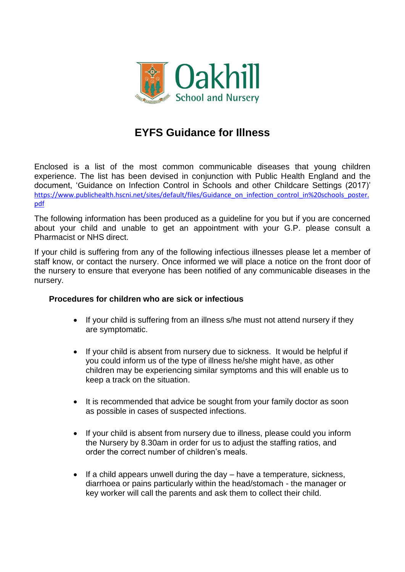

# **EYFS Guidance for Illness**

Enclosed is a list of the most common communicable diseases that young children experience. The list has been devised in conjunction with Public Health England and the document, 'Guidance on Infection Control in Schools and other Childcare Settings (2017)' [https://www.publichealth.hscni.net/sites/default/files/Guidance\\_on\\_infection\\_control\\_in%20schools\\_poster.](https://www.publichealth.hscni.net/sites/default/files/Guidance_on_infection_control_in%20schools_poster.pdf) [pdf](https://www.publichealth.hscni.net/sites/default/files/Guidance_on_infection_control_in%20schools_poster.pdf)

The following information has been produced as a guideline for you but if you are concerned about your child and unable to get an appointment with your G.P. please consult a Pharmacist or NHS direct.

If your child is suffering from any of the following infectious illnesses please let a member of staff know, or contact the nursery. Once informed we will place a notice on the front door of the nursery to ensure that everyone has been notified of any communicable diseases in the nursery.

# **Procedures for children who are sick or infectious**

- If your child is suffering from an illness s/he must not attend nursery if they are symptomatic.
- If your child is absent from nursery due to sickness. It would be helpful if you could inform us of the type of illness he/she might have, as other children may be experiencing similar symptoms and this will enable us to keep a track on the situation.
- It is recommended that advice be sought from your family doctor as soon as possible in cases of suspected infections.
- If your child is absent from nursery due to illness, please could you inform the Nursery by 8.30am in order for us to adjust the staffing ratios, and order the correct number of children's meals.
- If a child appears unwell during the day have a temperature, sickness, diarrhoea or pains particularly within the head/stomach - the manager or key worker will call the parents and ask them to collect their child.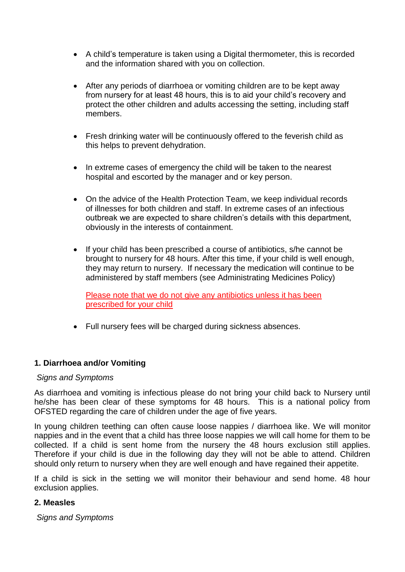- A child's temperature is taken using a Digital thermometer, this is recorded and the information shared with you on collection.
- After any periods of diarrhoea or vomiting children are to be kept away from nursery for at least 48 hours, this is to aid your child's recovery and protect the other children and adults accessing the setting, including staff members.
- Fresh drinking water will be continuously offered to the feverish child as this helps to prevent dehydration.
- In extreme cases of emergency the child will be taken to the nearest hospital and escorted by the manager and or key person.
- On the advice of the Health Protection Team, we keep individual records of illnesses for both children and staff. In extreme cases of an infectious outbreak we are expected to share children's details with this department, obviously in the interests of containment.
- If your child has been prescribed a course of antibiotics, s/he cannot be brought to nursery for 48 hours. After this time, if your child is well enough, they may return to nursery. If necessary the medication will continue to be administered by staff members (see Administrating Medicines Policy)

Please note that we do not give any antibiotics unless it has been prescribed for your child

Full nursery fees will be charged during sickness absences.

# **1. Diarrhoea and/or Vomiting**

#### *Signs and Symptoms*

As diarrhoea and vomiting is infectious please do not bring your child back to Nursery until he/she has been clear of these symptoms for 48 hours. This is a national policy from OFSTED regarding the care of children under the age of five years.

In young children teething can often cause loose nappies / diarrhoea like. We will monitor nappies and in the event that a child has three loose nappies we will call home for them to be collected. If a child is sent home from the nursery the 48 hours exclusion still applies. Therefore if your child is due in the following day they will not be able to attend. Children should only return to nursery when they are well enough and have regained their appetite.

If a child is sick in the setting we will monitor their behaviour and send home. 48 hour exclusion applies.

# **2. Measles**

*Signs and Symptoms*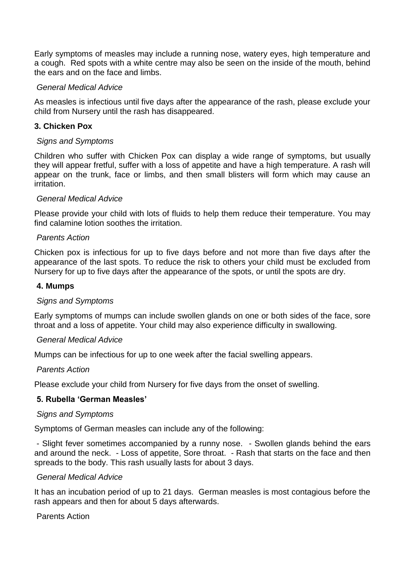Early symptoms of measles may include a running nose, watery eyes, high temperature and a cough. Red spots with a white centre may also be seen on the inside of the mouth, behind the ears and on the face and limbs.

## *General Medical Advice*

As measles is infectious until five days after the appearance of the rash, please exclude your child from Nursery until the rash has disappeared.

# **3. Chicken Pox**

#### *Signs and Symptoms*

Children who suffer with Chicken Pox can display a wide range of symptoms, but usually they will appear fretful, suffer with a loss of appetite and have a high temperature. A rash will appear on the trunk, face or limbs, and then small blisters will form which may cause an irritation.

## *General Medical Advice*

Please provide your child with lots of fluids to help them reduce their temperature. You may find calamine lotion soothes the irritation.

## *Parents Action*

Chicken pox is infectious for up to five days before and not more than five days after the appearance of the last spots. To reduce the risk to others your child must be excluded from Nursery for up to five days after the appearance of the spots, or until the spots are dry.

#### **4. Mumps**

#### *Signs and Symptoms*

Early symptoms of mumps can include swollen glands on one or both sides of the face, sore throat and a loss of appetite. Your child may also experience difficulty in swallowing.

#### *General Medical Advice*

Mumps can be infectious for up to one week after the facial swelling appears.

#### *Parents Action*

Please exclude your child from Nursery for five days from the onset of swelling.

# **5. Rubella 'German Measles'**

#### *Signs and Symptoms*

Symptoms of German measles can include any of the following:

- Slight fever sometimes accompanied by a runny nose. - Swollen glands behind the ears and around the neck. - Loss of appetite, Sore throat. - Rash that starts on the face and then spreads to the body. This rash usually lasts for about 3 days.

#### *General Medical Advice*

It has an incubation period of up to 21 days. German measles is most contagious before the rash appears and then for about 5 days afterwards.

Parents Action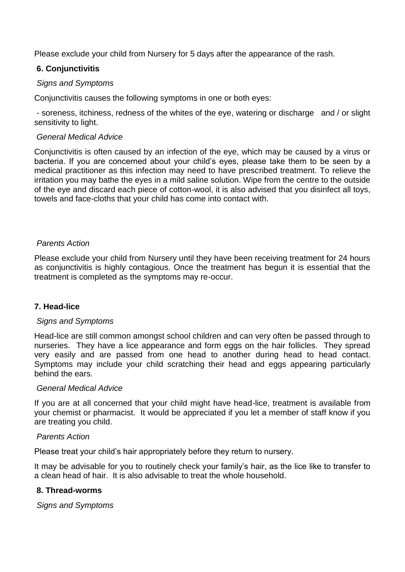Please exclude your child from Nursery for 5 days after the appearance of the rash.

# **6. Conjunctivitis**

# *Signs and Symptoms*

Conjunctivitis causes the following symptoms in one or both eyes:

- soreness, itchiness, redness of the whites of the eye, watering or discharge and / or slight sensitivity to light.

# *General Medical Advice*

Conjunctivitis is often caused by an infection of the eye, which may be caused by a virus or bacteria. If you are concerned about your child's eyes, please take them to be seen by a medical practitioner as this infection may need to have prescribed treatment. To relieve the irritation you may bathe the eyes in a mild saline solution. Wipe from the centre to the outside of the eye and discard each piece of cotton-wool, it is also advised that you disinfect all toys, towels and face-cloths that your child has come into contact with.

# *Parents Action*

Please exclude your child from Nursery until they have been receiving treatment for 24 hours as conjunctivitis is highly contagious. Once the treatment has begun it is essential that the treatment is completed as the symptoms may re-occur.

# **7. Head-lice**

# *Signs and Symptoms*

Head-lice are still common amongst school children and can very often be passed through to nurseries. They have a lice appearance and form eggs on the hair follicles. They spread very easily and are passed from one head to another during head to head contact. Symptoms may include your child scratching their head and eggs appearing particularly behind the ears.

# *General Medical Advice*

If you are at all concerned that your child might have head-lice, treatment is available from your chemist or pharmacist. It would be appreciated if you let a member of staff know if you are treating you child.

# *Parents Action*

Please treat your child's hair appropriately before they return to nursery.

It may be advisable for you to routinely check your family's hair, as the lice like to transfer to a clean head of hair. It is also advisable to treat the whole household.

# **8. Thread-worms**

*Signs and Symptoms*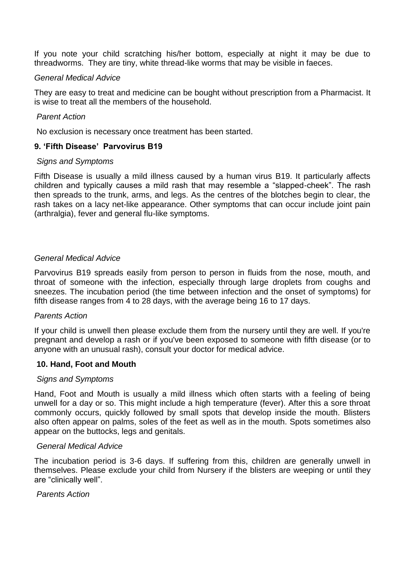If you note your child scratching his/her bottom, especially at night it may be due to threadworms. They are tiny, white thread-like worms that may be visible in faeces.

## *General Medical Advice*

They are easy to treat and medicine can be bought without prescription from a Pharmacist. It is wise to treat all the members of the household.

## *Parent Action*

No exclusion is necessary once treatment has been started.

# **9. 'Fifth Disease' Parvovirus B19**

#### *Signs and Symptoms*

Fifth Disease is usually a mild illness caused by a human virus B19. It particularly affects children and typically causes a mild rash that may resemble a "slapped-cheek". The rash then spreads to the trunk, arms, and legs. As the centres of the blotches begin to clear, the rash takes on a lacy net-like appearance. Other symptoms that can occur include joint pain (arthralgia), fever and general flu-like symptoms.

## *General Medical Advice*

Parvovirus B19 spreads easily from person to person in fluids from the nose, mouth, and throat of someone with the infection, especially through large droplets from coughs and sneezes. The incubation period (the time between infection and the onset of symptoms) for fifth disease ranges from 4 to 28 days, with the average being 16 to 17 days.

#### *Parents Action*

If your child is unwell then please exclude them from the nursery until they are well. If you're pregnant and develop a rash or if you've been exposed to someone with fifth disease (or to anyone with an unusual rash), consult your doctor for medical advice.

#### **10. Hand, Foot and Mouth**

#### *Signs and Symptoms*

Hand, Foot and Mouth is usually a mild illness which often starts with a feeling of being unwell for a day or so. This might include a high temperature (fever). After this a sore throat commonly occurs, quickly followed by small spots that develop inside the mouth. Blisters also often appear on palms, soles of the feet as well as in the mouth. Spots sometimes also appear on the buttocks, legs and genitals.

#### *General Medical Advice*

The incubation period is 3-6 days. If suffering from this, children are generally unwell in themselves. Please exclude your child from Nursery if the blisters are weeping or until they are "clinically well".

#### *Parents Action*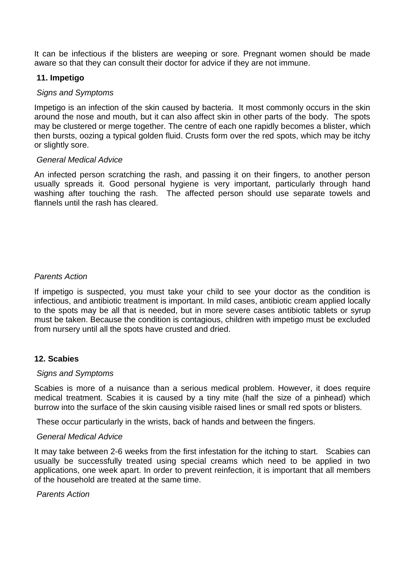It can be infectious if the blisters are weeping or sore. Pregnant women should be made aware so that they can consult their doctor for advice if they are not immune.

# **11. Impetigo**

# *Signs and Symptoms*

Impetigo is an infection of the skin caused by bacteria. It most commonly occurs in the skin around the nose and mouth, but it can also affect skin in other parts of the body. The spots may be clustered or merge together. The centre of each one rapidly becomes a blister, which then bursts, oozing a typical golden fluid. Crusts form over the red spots, which may be itchy or slightly sore.

## *General Medical Advice*

An infected person scratching the rash, and passing it on their fingers, to another person usually spreads it. Good personal hygiene is very important, particularly through hand washing after touching the rash. The affected person should use separate towels and flannels until the rash has cleared.

# *Parents Action*

If impetigo is suspected, you must take your child to see your doctor as the condition is infectious, and antibiotic treatment is important. In mild cases, antibiotic cream applied locally to the spots may be all that is needed, but in more severe cases antibiotic tablets or syrup must be taken. Because the condition is contagious, children with impetigo must be excluded from nursery until all the spots have crusted and dried.

# **12. Scabies**

#### *Signs and Symptoms*

Scabies is more of a nuisance than a serious medical problem. However, it does require medical treatment. Scabies it is caused by a tiny mite (half the size of a pinhead) which burrow into the surface of the skin causing visible raised lines or small red spots or blisters.

These occur particularly in the wrists, back of hands and between the fingers.

#### *General Medical Advice*

It may take between 2-6 weeks from the first infestation for the itching to start. Scabies can usually be successfully treated using special creams which need to be applied in two applications, one week apart. In order to prevent reinfection, it is important that all members of the household are treated at the same time.

#### *Parents Action*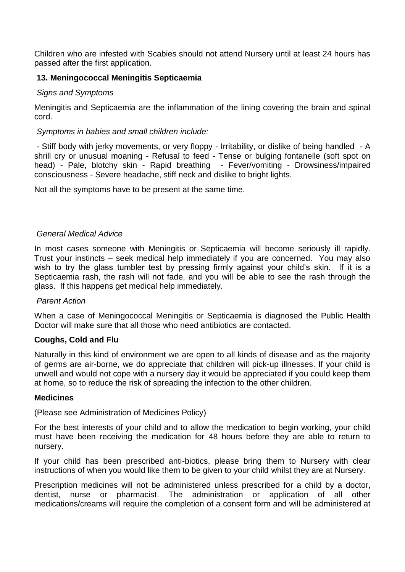Children who are infested with Scabies should not attend Nursery until at least 24 hours has passed after the first application.

# **13. Meningococcal Meningitis Septicaemia**

# *Signs and Symptoms*

Meningitis and Septicaemia are the inflammation of the lining covering the brain and spinal cord.

## *Symptoms in babies and small children include:*

- Stiff body with jerky movements, or very floppy - Irritability, or dislike of being handled - A shrill cry or unusual moaning - Refusal to feed - Tense or bulging fontanelle (soft spot on head) - Pale, blotchy skin - Rapid breathing - Fever/vomiting - Drowsiness/impaired consciousness - Severe headache, stiff neck and dislike to bright lights.

Not all the symptoms have to be present at the same time.

## *General Medical Advice*

In most cases someone with Meningitis or Septicaemia will become seriously ill rapidly. Trust your instincts – seek medical help immediately if you are concerned. You may also wish to try the glass tumbler test by pressing firmly against your child's skin. If it is a Septicaemia rash, the rash will not fade, and you will be able to see the rash through the glass. If this happens get medical help immediately.

#### *Parent Action*

When a case of Meningococcal Meningitis or Septicaemia is diagnosed the Public Health Doctor will make sure that all those who need antibiotics are contacted.

# **Coughs, Cold and Flu**

Naturally in this kind of environment we are open to all kinds of disease and as the majority of germs are air-borne, we do appreciate that children will pick-up illnesses. If your child is unwell and would not cope with a nursery day it would be appreciated if you could keep them at home, so to reduce the risk of spreading the infection to the other children.

#### **Medicines**

(Please see Administration of Medicines Policy)

For the best interests of your child and to allow the medication to begin working, your child must have been receiving the medication for 48 hours before they are able to return to nursery.

If your child has been prescribed anti-biotics, please bring them to Nursery with clear instructions of when you would like them to be given to your child whilst they are at Nursery.

Prescription medicines will not be administered unless prescribed for a child by a doctor, dentist, nurse or pharmacist. The administration or application of all other medications/creams will require the completion of a consent form and will be administered at